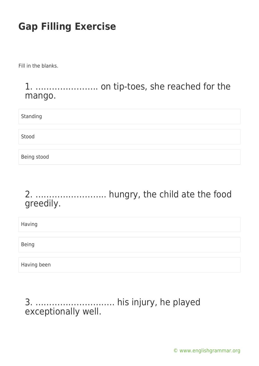Fill in the blanks.

#### 1. ………………….. on tip-toes, she reached for the mango.

Standing

Stood

Being stood

### 2. …………………….. hungry, the child ate the food greedily.

Having

Being

Having been

#### 3. ……………………….. his injury, he played exceptionally well.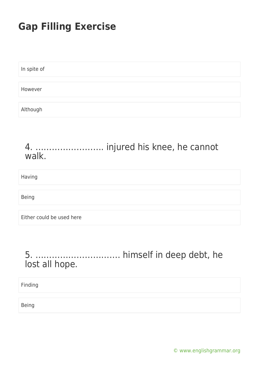| In spite of |  |  |
|-------------|--|--|
|             |  |  |
| However     |  |  |
|             |  |  |
| Although    |  |  |

#### 4. ……………………. injured his knee, he cannot walk.

Having

Being

Either could be used here

### 5. …………………………. himself in deep debt, he lost all hope.

Finding

Being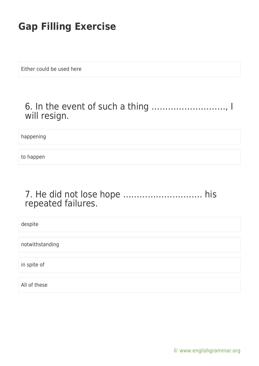Either could be used here

### 6. In the event of such a thing ………………………, I will resign.

happening

to happen

#### 7. He did not lose hope ……………………….. his repeated failures.

despite notwithstanding in spite of

All of these

[© www.englishgrammar.org](https://www.englishgrammar.org/)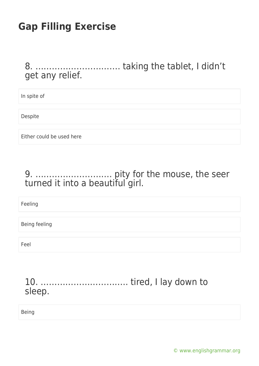### 8. …………………………. taking the tablet, I didn't get any relief.

In spite of

Despite

Either could be used here

### 9. ………………………. pity for the mouse, the seer turned it into a beautiful girl.

Feeling

Being feeling

Feel

### 10. ………………………….. tired, I lay down to sleep.

Being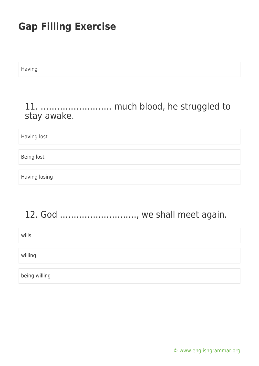Having

#### 11. …………………….. much blood, he struggled to stay awake.

Having lost

Being lost

Having losing

### 12. God ………………………., we shall meet again.

wills

willing

being willing

[© www.englishgrammar.org](https://www.englishgrammar.org/)